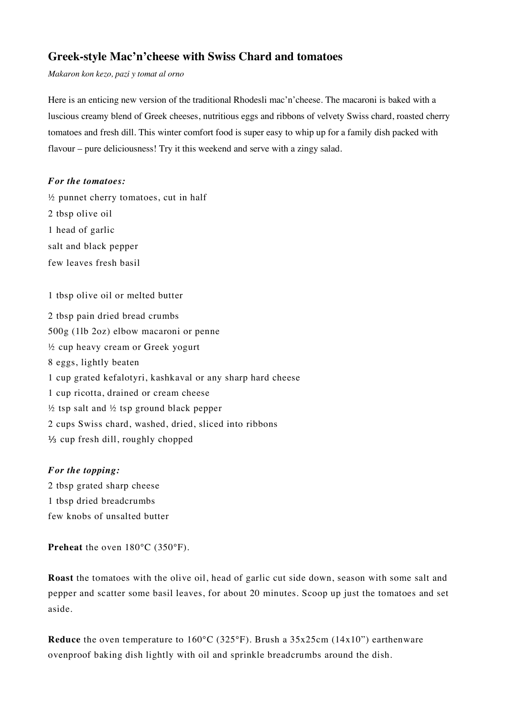## **Greek-style Mac'n'cheese with Swiss Chard and tomatoes**

*Makaron kon kezo, pazi y tomat al orno*

Here is an enticing new version of the traditional Rhodesli mac'n'cheese. The macaroni is baked with a luscious creamy blend of Greek cheeses, nutritious eggs and ribbons of velvety Swiss chard, roasted cherry tomatoes and fresh dill. This winter comfort food is super easy to whip up for a family dish packed with flavour – pure deliciousness! Try it this weekend and serve with a zingy salad.

## *For the tomatoes:*

 $\frac{1}{2}$  punnet cherry tomatoes, cut in half 2 tbsp olive oil 1 head of garlic salt and black pepper few leaves fresh basil

1 tbsp olive oil or melted butter

2 tbsp pain dried bread crumbs 500g (1lb 2oz) elbow macaroni or penne ½ cup heavy cream or Greek yogurt 8 eggs, lightly beaten 1 cup grated kefalotyri, kashkaval or any sharp hard cheese 1 cup ricotta, drained or cream cheese  $\frac{1}{2}$  tsp salt and  $\frac{1}{2}$  tsp ground black pepper 2 cups Swiss chard, washed, dried, sliced into ribbons ⅓ cup fresh dill, roughly chopped

## *For the topping:*

2 tbsp grated sharp cheese 1 tbsp dried breadcrumbs few knobs of unsalted butter

**Preheat** the oven 180°C (350°F).

**Roast** the tomatoes with the olive oil, head of garlic cut side down, season with some salt and pepper and scatter some basil leaves, for about 20 minutes. Scoop up just the tomatoes and set aside.

**Reduce** the oven temperature to 160°C (325°F). Brush a 35x25cm (14x10") earthenware ovenproof baking dish lightly with oil and sprinkle breadcrumbs around the dish.